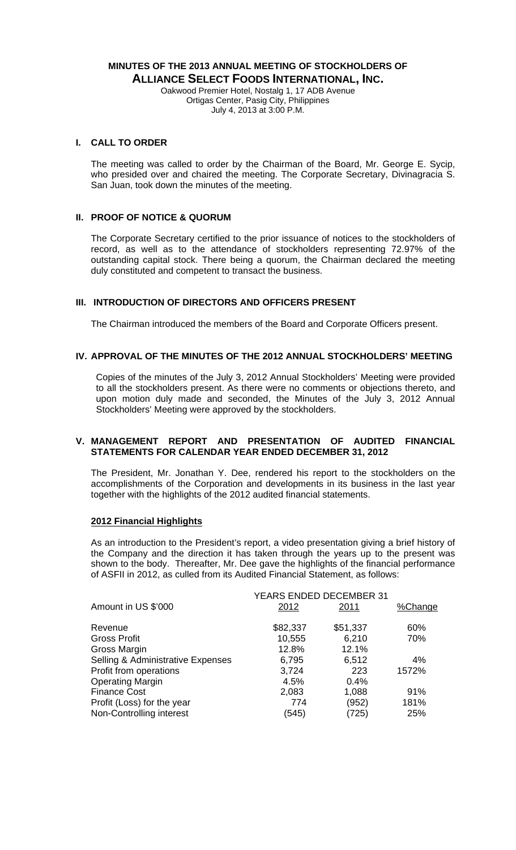# **MINUTES OF THE 2013 ANNUAL MEETING OF STOCKHOLDERS OF ALLIANCE SELECT FOODS INTERNATIONAL, INC.**

Oakwood Premier Hotel, Nostalg 1, 17 ADB Avenue Ortigas Center, Pasig City, Philippines July 4, 2013 at 3:00 P.M.

#### **I. CALL TO ORDER**

The meeting was called to order by the Chairman of the Board, Mr. George E. Sycip, who presided over and chaired the meeting. The Corporate Secretary, Divinagracia S. San Juan, took down the minutes of the meeting.

# **II. PROOF OF NOTICE & QUORUM**

The Corporate Secretary certified to the prior issuance of notices to the stockholders of record, as well as to the attendance of stockholders representing 72.97% of the outstanding capital stock. There being a quorum, the Chairman declared the meeting duly constituted and competent to transact the business.

# **III. INTRODUCTION OF DIRECTORS AND OFFICERS PRESENT**

The Chairman introduced the members of the Board and Corporate Officers present.

# **IV. APPROVAL OF THE MINUTES OF THE 2012 ANNUAL STOCKHOLDERS' MEETING**

Copies of the minutes of the July 3, 2012 Annual Stockholders' Meeting were provided to all the stockholders present. As there were no comments or objections thereto, and upon motion duly made and seconded, the Minutes of the July 3, 2012 Annual Stockholders' Meeting were approved by the stockholders.

### **V. MANAGEMENT REPORT AND PRESENTATION OF AUDITED FINANCIAL STATEMENTS FOR CALENDAR YEAR ENDED DECEMBER 31, 2012**

The President, Mr. Jonathan Y. Dee, rendered his report to the stockholders on the accomplishments of the Corporation and developments in its business in the last year together with the highlights of the 2012 audited financial statements.

## **2012 Financial Highlights**

As an introduction to the President's report, a video presentation giving a brief history of the Company and the direction it has taken through the years up to the present was shown to the body. Thereafter, Mr. Dee gave the highlights of the financial performance of ASFII in 2012, as culled from its Audited Financial Statement, as follows:

| 2012     | 2011     | %Change                 |
|----------|----------|-------------------------|
| \$82,337 | \$51,337 | 60%                     |
| 10,555   | 6,210    | 70%                     |
| 12.8%    | 12.1%    |                         |
| 6,795    | 6,512    | 4%                      |
| 3,724    | 223      | 1572%                   |
| 4.5%     | 0.4%     |                         |
| 2,083    | 1,088    | 91%                     |
| 774      | (952)    | 181%                    |
| (545)    | (725)    | 25%                     |
|          |          | YEARS ENDED DECEMBER 31 |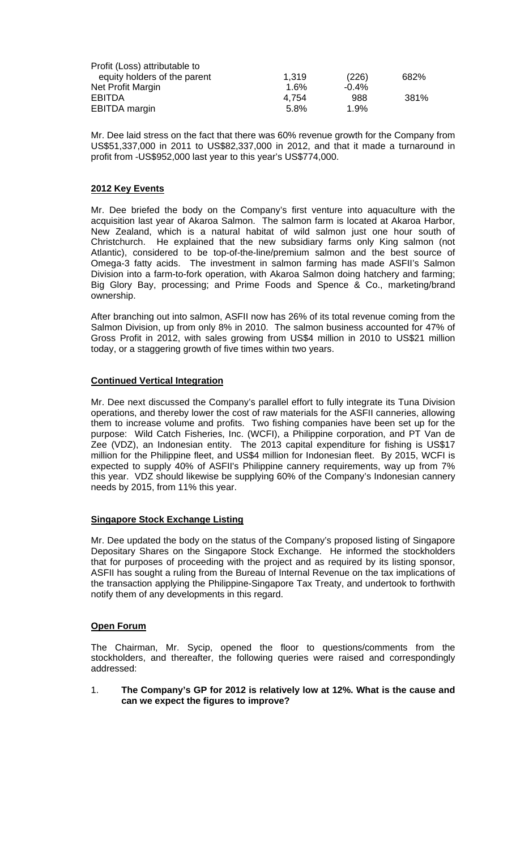| Profit (Loss) attributable to |         |          |      |
|-------------------------------|---------|----------|------|
| equity holders of the parent  | 1.319   | (226)    | 682% |
| Net Profit Margin             | $1.6\%$ | $-0.4\%$ |      |
| <b>EBITDA</b>                 | 4.754   | 988      | 381% |
| <b>EBITDA</b> margin          | 5.8%    | 1.9%     |      |

Mr. Dee laid stress on the fact that there was 60% revenue growth for the Company from US\$51,337,000 in 2011 to US\$82,337,000 in 2012, and that it made a turnaround in profit from -US\$952,000 last year to this year's US\$774,000.

## **2012 Key Events**

Mr. Dee briefed the body on the Company's first venture into aquaculture with the acquisition last year of Akaroa Salmon. The salmon farm is located at Akaroa Harbor, New Zealand, which is a natural habitat of wild salmon just one hour south of Christchurch. He explained that the new subsidiary farms only King salmon (not Atlantic), considered to be top-of-the-line/premium salmon and the best source of Omega-3 fatty acids. The investment in salmon farming has made ASFII's Salmon Division into a farm-to-fork operation, with Akaroa Salmon doing hatchery and farming; Big Glory Bay, processing; and Prime Foods and Spence & Co., marketing/brand ownership.

After branching out into salmon, ASFII now has 26% of its total revenue coming from the Salmon Division, up from only 8% in 2010. The salmon business accounted for 47% of Gross Profit in 2012, with sales growing from US\$4 million in 2010 to US\$21 million today, or a staggering growth of five times within two years.

### **Continued Vertical Integration**

Mr. Dee next discussed the Company's parallel effort to fully integrate its Tuna Division operations, and thereby lower the cost of raw materials for the ASFII canneries, allowing them to increase volume and profits. Two fishing companies have been set up for the purpose: Wild Catch Fisheries, Inc. (WCFI), a Philippine corporation, and PT Van de Zee (VDZ), an Indonesian entity. The 2013 capital expenditure for fishing is US\$17 million for the Philippine fleet, and US\$4 million for Indonesian fleet. By 2015, WCFI is expected to supply 40% of ASFII's Philippine cannery requirements, way up from 7% this year. VDZ should likewise be supplying 60% of the Company's Indonesian cannery needs by 2015, from 11% this year.

#### **Singapore Stock Exchange Listing**

Mr. Dee updated the body on the status of the Company's proposed listing of Singapore Depositary Shares on the Singapore Stock Exchange. He informed the stockholders that for purposes of proceeding with the project and as required by its listing sponsor, ASFII has sought a ruling from the Bureau of Internal Revenue on the tax implications of the transaction applying the Philippine-Singapore Tax Treaty, and undertook to forthwith notify them of any developments in this regard.

#### **Open Forum**

The Chairman, Mr. Sycip, opened the floor to questions/comments from the stockholders, and thereafter, the following queries were raised and correspondingly addressed:

#### 1. **The Company's GP for 2012 is relatively low at 12%. What is the cause and can we expect the figures to improve?**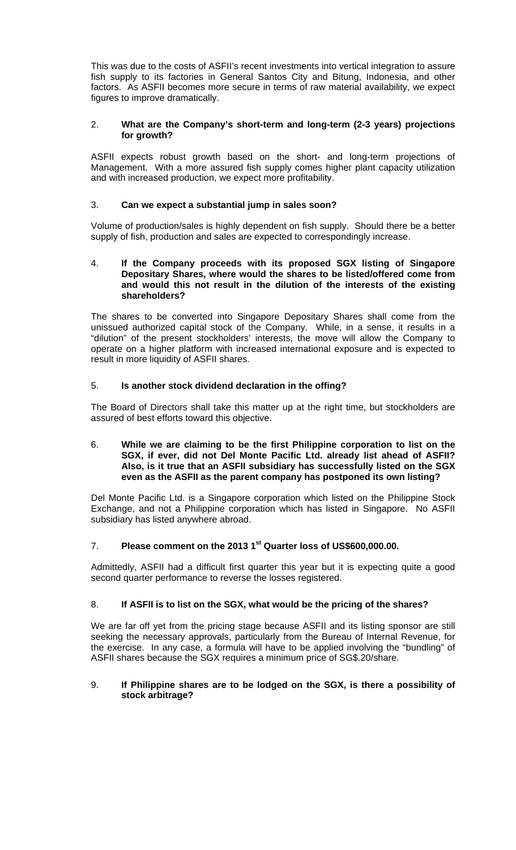This was due to the costs of ASFII's recent investments into vertical integration to assure fish supply to its factories in General Santos City and Bitung, Indonesia, and other factors. As ASFII becomes more secure in terms of raw material availability, we expect figures to improve dramatically.

## 2. **What are the Company's short-term and long-term (2-3 years) projections for growth?**

ASFII expects robust growth based on the short- and long-term projections of Management. With a more assured fish supply comes higher plant capacity utilization and with increased production, we expect more profitability.

# 3. **Can we expect a substantial jump in sales soon?**

Volume of production/sales is highly dependent on fish supply. Should there be a better supply of fish, production and sales are expected to correspondingly increase.

### 4. **If the Company proceeds with its proposed SGX listing of Singapore Depositary Shares, where would the shares to be listed/offered come from and would this not result in the dilution of the interests of the existing shareholders?**

The shares to be converted into Singapore Depositary Shares shall come from the unissued authorized capital stock of the Company. While, in a sense, it results in a "dilution" of the present stockholders' interests, the move will allow the Company to operate on a higher platform with increased international exposure and is expected to result in more liquidity of ASFII shares.

# 5. **Is another stock dividend declaration in the offing?**

The Board of Directors shall take this matter up at the right time, but stockholders are assured of best efforts toward this objective.

### 6. **While we are claiming to be the first Philippine corporation to list on the SGX, if ever, did not Del Monte Pacific Ltd. already list ahead of ASFII? Also, is it true that an ASFII subsidiary has successfully listed on the SGX even as the ASFII as the parent company has postponed its own listing?**

Del Monte Pacific Ltd. is a Singapore corporation which listed on the Philippine Stock Exchange, and not a Philippine corporation which has listed in Singapore. No ASFII subsidiary has listed anywhere abroad.

# 7. **Please comment on the 2013 1st Quarter loss of US\$600,000.00.**

Admittedly, ASFII had a difficult first quarter this year but it is expecting quite a good second quarter performance to reverse the losses registered.

# 8. **If ASFII is to list on the SGX, what would be the pricing of the shares?**

We are far off yet from the pricing stage because ASFII and its listing sponsor are still seeking the necessary approvals, particularly from the Bureau of Internal Revenue, for the exercise. In any case, a formula will have to be applied involving the "bundling" of ASFII shares because the SGX requires a minimum price of SG\$.20/share.

### 9. **If Philippine shares are to be lodged on the SGX, is there a possibility of stock arbitrage?**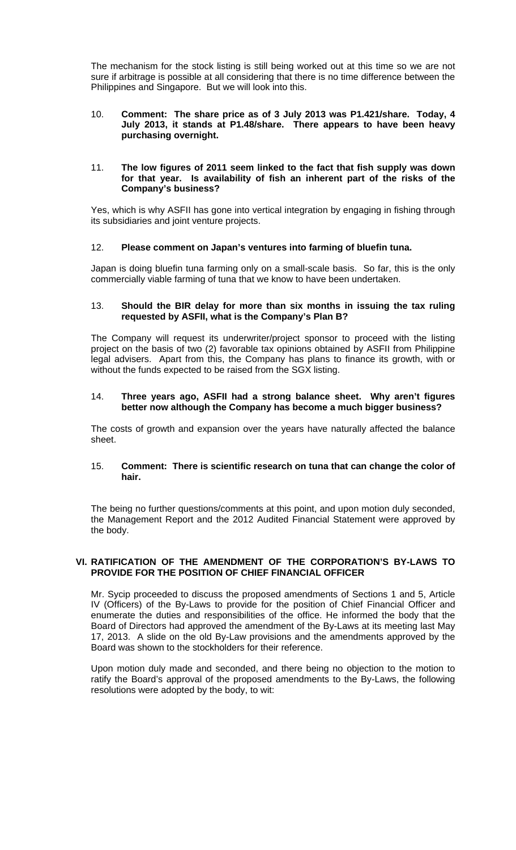The mechanism for the stock listing is still being worked out at this time so we are not sure if arbitrage is possible at all considering that there is no time difference between the Philippines and Singapore. But we will look into this.

### 10. **Comment: The share price as of 3 July 2013 was P1.421/share. Today, 4 July 2013, it stands at P1.48/share. There appears to have been heavy purchasing overnight.**

#### 11. **The low figures of 2011 seem linked to the fact that fish supply was down for that year. Is availability of fish an inherent part of the risks of the Company's business?**

Yes, which is why ASFII has gone into vertical integration by engaging in fishing through its subsidiaries and joint venture projects.

### 12. **Please comment on Japan's ventures into farming of bluefin tuna.**

Japan is doing bluefin tuna farming only on a small-scale basis. So far, this is the only commercially viable farming of tuna that we know to have been undertaken.

### 13. **Should the BIR delay for more than six months in issuing the tax ruling requested by ASFII, what is the Company's Plan B?**

The Company will request its underwriter/project sponsor to proceed with the listing project on the basis of two (2) favorable tax opinions obtained by ASFII from Philippine legal advisers. Apart from this, the Company has plans to finance its growth, with or without the funds expected to be raised from the SGX listing.

### 14. **Three years ago, ASFII had a strong balance sheet. Why aren't figures better now although the Company has become a much bigger business?**

The costs of growth and expansion over the years have naturally affected the balance sheet.

### 15. **Comment: There is scientific research on tuna that can change the color of hair.**

The being no further questions/comments at this point, and upon motion duly seconded, the Management Report and the 2012 Audited Financial Statement were approved by the body.

### **VI. RATIFICATION OF THE AMENDMENT OF THE CORPORATION'S BY-LAWS TO PROVIDE FOR THE POSITION OF CHIEF FINANCIAL OFFICER**

Mr. Sycip proceeded to discuss the proposed amendments of Sections 1 and 5, Article IV (Officers) of the By-Laws to provide for the position of Chief Financial Officer and enumerate the duties and responsibilities of the office. He informed the body that the Board of Directors had approved the amendment of the By-Laws at its meeting last May 17, 2013. A slide on the old By-Law provisions and the amendments approved by the Board was shown to the stockholders for their reference.

Upon motion duly made and seconded, and there being no objection to the motion to ratify the Board's approval of the proposed amendments to the By-Laws, the following resolutions were adopted by the body, to wit: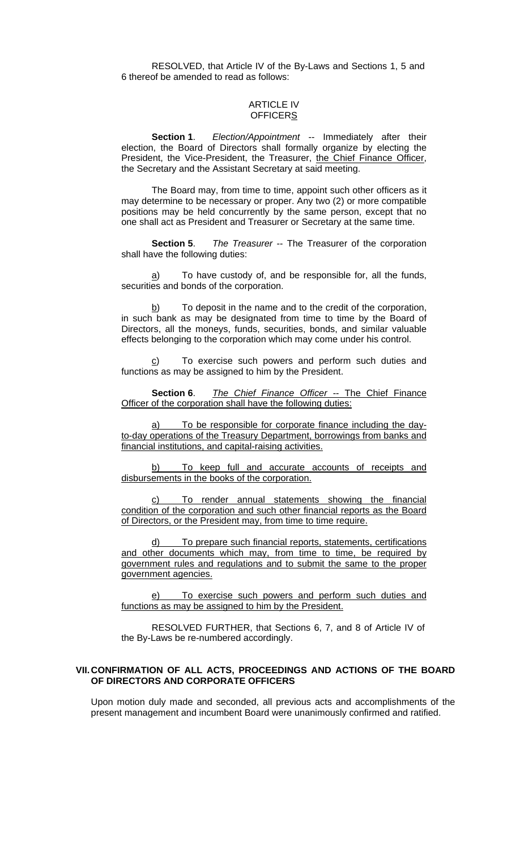RESOLVED, that Article IV of the By-Laws and Sections 1, 5 and 6 thereof be amended to read as follows:

#### ARTICLE IV **OFFICERS**

**Section 1**. *Election/Appointment* -- Immediately after their election, the Board of Directors shall formally organize by electing the President, the Vice-President, the Treasurer, the Chief Finance Officer, the Secretary and the Assistant Secretary at said meeting.

The Board may, from time to time, appoint such other officers as it may determine to be necessary or proper. Any two (2) or more compatible positions may be held concurrently by the same person, except that no one shall act as President and Treasurer or Secretary at the same time.

**Section 5**. *The Treasurer* -- The Treasurer of the corporation shall have the following duties:

 $\underline{a}$  To have custody of, and be responsible for, all the funds, securities and bonds of the corporation.

 $\underline{b}$  To deposit in the name and to the credit of the corporation, in such bank as may be designated from time to time by the Board of Directors, all the moneys, funds, securities, bonds, and similar valuable effects belonging to the corporation which may come under his control.

 $c$ ) To exercise such powers and perform such duties and functions as may be assigned to him by the President.

**Section 6**. *The Chief Finance Officer* -- The Chief Finance Officer of the corporation shall have the following duties:

a) To be responsible for corporate finance including the dayto-day operations of the Treasury Department, borrowings from banks and financial institutions, and capital-raising activities.

To keep full and accurate accounts of receipts and disbursements in the books of the corporation.

c) To render annual statements showing the financial condition of the corporation and such other financial reports as the Board of Directors, or the President may, from time to time require.

d) To prepare such financial reports, statements, certifications and other documents which may, from time to time, be required by government rules and regulations and to submit the same to the proper government agencies.

e) To exercise such powers and perform such duties and functions as may be assigned to him by the President.

RESOLVED FURTHER, that Sections 6, 7, and 8 of Article IV of the By-Laws be re-numbered accordingly.

### **VII. CONFIRMATION OF ALL ACTS, PROCEEDINGS AND ACTIONS OF THE BOARD OF DIRECTORS AND CORPORATE OFFICERS**

Upon motion duly made and seconded, all previous acts and accomplishments of the present management and incumbent Board were unanimously confirmed and ratified.